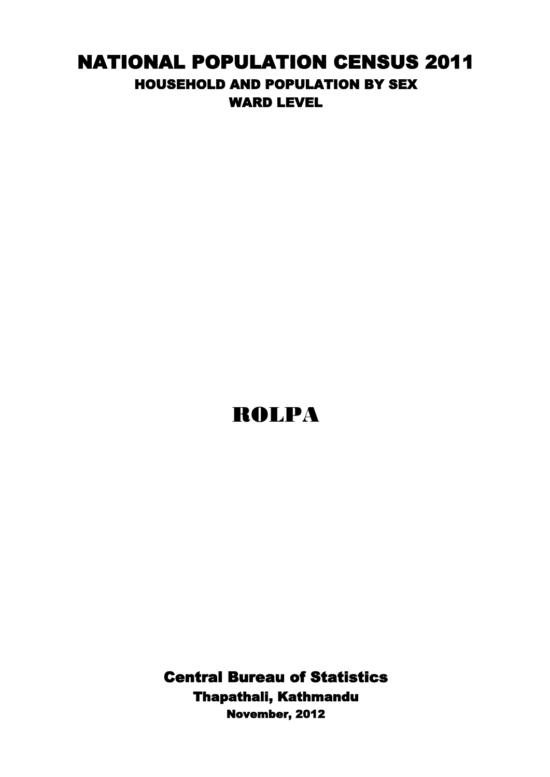## NATIONAL POPULATION CENSUS 2011 HOUSEHOLD AND POPULATION BY SEX WARD LEVEL

## ROLPA

Central Bureau of Statistics Thapathali, Kathmandu November, 2012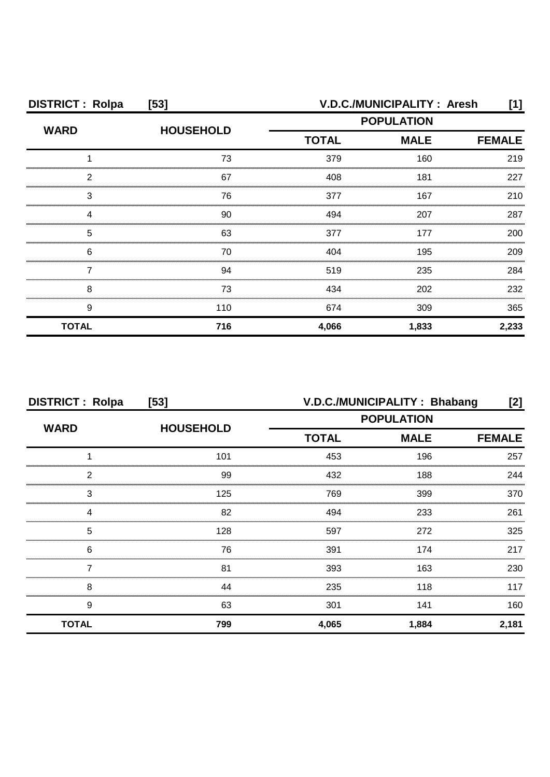| <b>DISTRICT: Rolpa</b> | $[53]$           | V.D.C./MUNICIPALITY: Aresh<br>[1] |       |               |  |
|------------------------|------------------|-----------------------------------|-------|---------------|--|
| <b>WARD</b>            | <b>HOUSEHOLD</b> | <b>POPULATION</b>                 |       |               |  |
|                        |                  | <b>MALE</b><br><b>TOTAL</b>       |       | <b>FEMALE</b> |  |
|                        | 73               | 379                               | 160   | 219           |  |
| 2                      | 67               | 408                               | 181   | 227           |  |
| 3                      | 76               | 377                               | 167   | 210           |  |
|                        | 90               | 494                               | 207   | 287           |  |
| 5                      | 63               | 377                               | 177   | 200           |  |
| 6                      | 70               | 404                               | 195   | 209           |  |
|                        | 94               | 519                               | 235   | 284           |  |
| 8                      | 73               | 434                               | 202   | 232           |  |
| 9                      | 110              | 674                               | 309   | 365           |  |
| <b>TOTAL</b>           | 716              | 4,066                             | 1,833 | 2,233         |  |

| <b>DISTRICT: Rolpa</b><br>$[53]$ |                  | V.D.C./MUNICIPALITY: Bhabang<br>[2]              |       |               |
|----------------------------------|------------------|--------------------------------------------------|-------|---------------|
| <b>WARD</b>                      |                  | <b>POPULATION</b><br><b>TOTAL</b><br><b>MALE</b> |       |               |
|                                  | <b>HOUSEHOLD</b> |                                                  |       | <b>FEMALE</b> |
|                                  | 101              | 453                                              | 196   | 257           |
| 2                                | 99               | 432                                              | 188   | 244           |
| 3                                | 125              | 769                                              | 399   | 370           |
|                                  | 82               | 494                                              | 233   | 261           |
| 5                                | 128              | 597                                              | 272   | 325           |
| 6                                | 76               | 391                                              | 174   | 217           |
|                                  | 81               | 393                                              | 163   | 230           |
| 8                                | 44               | 235                                              | 118   | 117           |
| 9                                | 63               | 301                                              | 141   | 160           |
| <b>TOTAL</b>                     | 799              | 4,065                                            | 1,884 | 2,181         |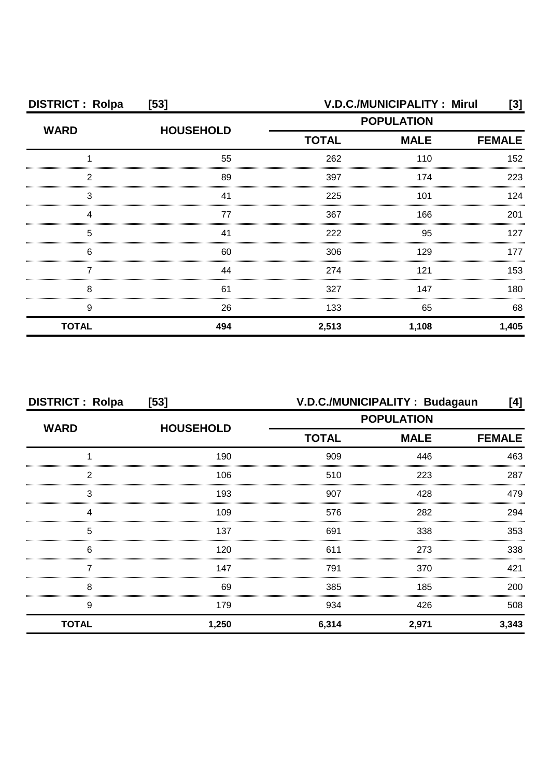| <b>DISTRICT: Rolpa</b> | $[53]$           | V.D.C./MUNICIPALITY: Mirul<br>[3]            |       |       |  |
|------------------------|------------------|----------------------------------------------|-------|-------|--|
| <b>WARD</b>            | <b>HOUSEHOLD</b> | <b>POPULATION</b>                            |       |       |  |
|                        |                  | <b>TOTAL</b><br><b>MALE</b><br><b>FEMALE</b> |       |       |  |
|                        | 55               | 262                                          | 110   | 152   |  |
| 2                      | 89               | 397                                          | 174   | 223   |  |
| 3                      | 41               | 225                                          | 101   | 124   |  |
|                        | 77               | 367                                          | 166   | 201   |  |
| 5                      | 41               | 222                                          | 95    | 127   |  |
| 6                      | 60               | 306                                          | 129   | 177   |  |
|                        | 44               | 274                                          | 121   | 153   |  |
| 8                      | 61               | 327                                          | 147   | 180.  |  |
| 9                      | 26               | 133                                          | 65    | 68    |  |
| <b>TOTAL</b>           | 494              | 2,513                                        | 1,108 | 1,405 |  |

| <b>DISTRICT: Rolpa</b><br>$[53]$ |                  | V.D.C./MUNICIPALITY: Budagaun<br>[4]             |               |       |
|----------------------------------|------------------|--------------------------------------------------|---------------|-------|
| <b>WARD</b>                      | <b>HOUSEHOLD</b> | <b>POPULATION</b><br><b>TOTAL</b><br><b>MALE</b> |               |       |
|                                  |                  |                                                  | <b>FEMALE</b> |       |
|                                  | 190              | 909                                              | 446           | 463   |
| 2                                | 106              | 510                                              | 223           | 287   |
| 3                                | 193              | 907                                              | 428           | 479   |
| Δ                                | 109              | 576                                              | 282           | 294   |
| 5                                | 137              | 691                                              | 338           | 353   |
| 6                                | 120              | 611                                              | 273           | 338   |
|                                  | 147              | 791                                              | 370           | 421   |
| 8                                | 69               | 385                                              | 185           | 200   |
| 9                                | 179              | 934                                              | 426           | 508   |
| <b>TOTAL</b>                     | 1,250            | 6,314                                            | 2,971         | 3,343 |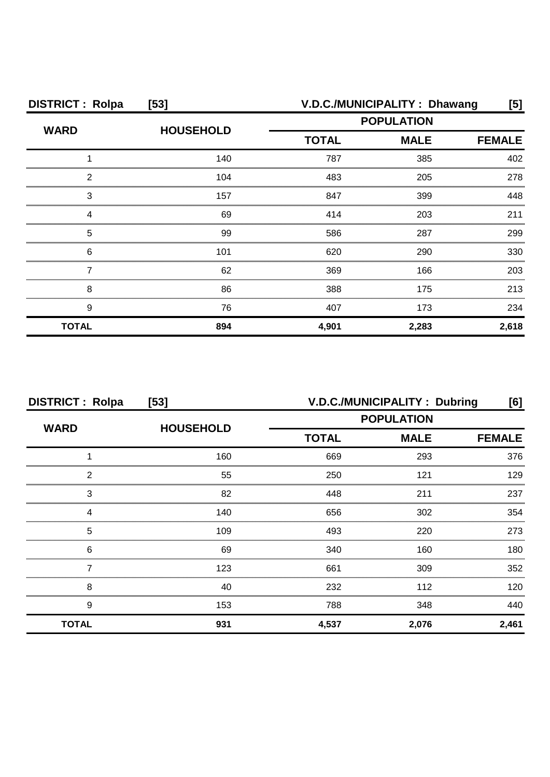| <b>DISTRICT: Rolpa</b> | $[53]$           |                             | V.D.C./MUNICIPALITY: Dhawang | [5]           |
|------------------------|------------------|-----------------------------|------------------------------|---------------|
| <b>WARD</b>            | <b>HOUSEHOLD</b> | <b>POPULATION</b>           |                              |               |
|                        |                  | <b>TOTAL</b><br><b>MALE</b> |                              | <b>FEMALE</b> |
|                        | 140              | 787                         | 385                          | 402           |
| 2                      | 104              | 483                         | 205                          | 278           |
| З                      | 157              | 847                         | 399                          | 448           |
|                        | 69               | 414                         | 203                          | 211           |
| 5                      | 99               | 586                         | 287                          | 299           |
| 6                      | 101              | 620                         | 290                          | 330           |
|                        | 62               | 369                         | 166                          | 203           |
| 8                      | 86               | 388                         | 175                          | 213           |
| 9                      | 76               | 407                         | 173                          | 234           |
| <b>TOTAL</b>           | 894              | 4,901                       | 2,283                        | 2,618         |

| <b>DISTRICT: Rolpa</b><br>[53] |                  | V.D.C./MUNICIPALITY: Dubring<br>[6] |                              |       |
|--------------------------------|------------------|-------------------------------------|------------------------------|-------|
| <b>WARD</b>                    | <b>HOUSEHOLD</b> | <b>POPULATION</b>                   |                              |       |
|                                |                  | <b>TOTAL</b>                        | <b>MALE</b><br><b>FEMALE</b> |       |
|                                | 160              | 669                                 | 293                          | 376   |
| 2                              | 55               | 250                                 | 121                          | 129   |
| 3                              | 82               | 448                                 | 211                          | 237   |
|                                | 140              | 656                                 | 302                          | 354   |
| 5                              | 109              | 493                                 | 220                          | 273   |
| 6                              | 69               | 340                                 | 160                          | 180   |
|                                | 123              | 661                                 | 309                          | 352   |
| 8                              | 40               | 232                                 | 112                          | 120   |
| 9                              | 153              | 788                                 | 348                          | 440   |
| <b>TOTAL</b>                   | 931              | 4,537                               | 2,076                        | 2,461 |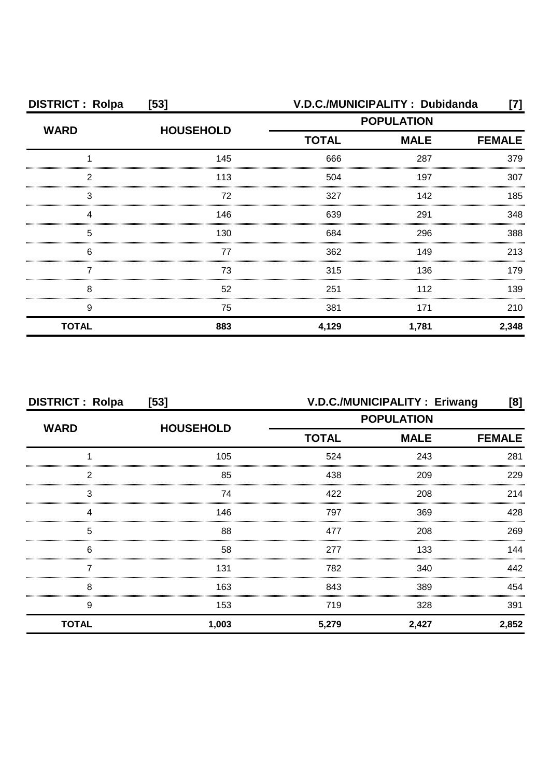| <b>DISTRICT: Rolpa</b> | $[53]$           |              | V.D.C./MUNICIPALITY: Dubidanda | [7]           |
|------------------------|------------------|--------------|--------------------------------|---------------|
| <b>WARD</b>            | <b>HOUSEHOLD</b> |              | <b>POPULATION</b>              |               |
|                        |                  | <b>TOTAL</b> | <b>MALE</b>                    | <b>FEMALE</b> |
|                        | 145              | 666          | 287                            | 379           |
| 2                      | 113              | 504          | 197                            | 307           |
| З                      | 72               | 327          | 142                            | 185           |
|                        | 146              | 639          | 291                            | 348           |
| 5                      | 130              | 684          | 296                            | 388           |
| 6                      | 77               | 362          | 149                            | 213           |
|                        | 73               | 315          | 136                            | 179           |
| 8                      | 52               | 251          | 112                            | 139           |
| 9                      | 75               | 381          | 171                            | 210           |
| <b>TOTAL</b>           | 883              | 4,129        | 1,781                          | 2,348         |

| <b>DISTRICT: Rolpa</b><br>$[53]$ |                  | V.D.C./MUNICIPALITY : Eriwang<br>[8] |                   |               |
|----------------------------------|------------------|--------------------------------------|-------------------|---------------|
| <b>WARD</b>                      |                  |                                      | <b>POPULATION</b> |               |
|                                  | <b>HOUSEHOLD</b> | <b>TOTAL</b><br><b>MALE</b>          |                   | <b>FEMALE</b> |
|                                  | 105              | 524                                  | 243               | 281           |
| 2                                | 85               | 438                                  | 209               | 229           |
| 3                                | 74               | 422                                  | 208               | 214           |
| Δ                                | 146              | 797                                  | 369               | 428           |
| 5                                | 88               | 477                                  | 208               | 269           |
| 6                                | 58               | 277                                  | 133               | 144           |
|                                  | 131              | 782                                  | 340               | 442           |
| 8                                | 163              | 843                                  | 389               | 454           |
| 9                                | 153              | 719                                  | 328               | 391           |
| <b>TOTAL</b>                     | 1,003            | 5,279                                | 2,427             | 2,852         |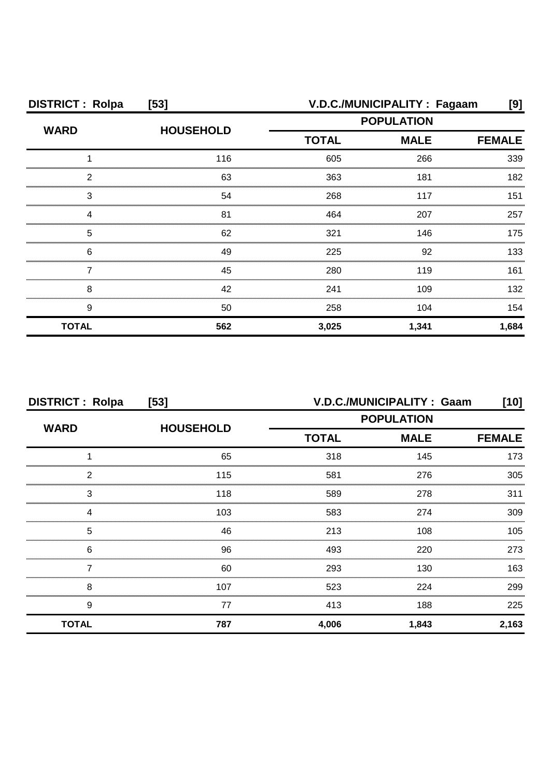| <b>DISTRICT: Rolpa</b> | $[53]$           | V.D.C./MUNICIPALITY: Fagaam                  |       |       |
|------------------------|------------------|----------------------------------------------|-------|-------|
| <b>WARD</b>            | <b>HOUSEHOLD</b> | <b>POPULATION</b>                            |       |       |
|                        |                  | <b>TOTAL</b><br><b>MALE</b><br><b>FEMALE</b> |       |       |
|                        | 116              | 605                                          | 266   | 339   |
| 2                      | 63               | 363                                          | 181   | 182   |
| З                      | 54               | 268                                          | 117   | 151   |
|                        | 81               | 464                                          | 207   | 257   |
| 5                      | 62               | 321                                          | 146   | 175   |
| 6                      | 49               | 225                                          | 92    | 133   |
|                        | 45               | 280                                          | 119   | 161   |
| 8                      | 42               | 241                                          | 109   | 132   |
| 9                      | 50               | 258                                          | 104   | 154   |
| <b>TOTAL</b>           | 562              | 3,025                                        | 1,341 | 1,684 |

| <b>DISTRICT: Rolpa</b><br>$[53]$ |                  |              | V.D.C./MUNICIPALITY: Gaam | [10]          |  |
|----------------------------------|------------------|--------------|---------------------------|---------------|--|
|                                  | <b>HOUSEHOLD</b> |              | <b>POPULATION</b>         |               |  |
| <b>WARD</b>                      |                  | <b>TOTAL</b> | <b>MALE</b>               | <b>FEMALE</b> |  |
|                                  | 65               | 318          | 145                       | 173           |  |
| 2                                | 115              | 581          | 276                       | 305           |  |
| 3                                | 118              | 589          | 278                       | 311           |  |
|                                  | 103              | 583          | 274                       | 309           |  |
| 5                                | 46               | 213          | 108                       | 105           |  |
| 6                                | 96               | 493          | 220                       | 273           |  |
|                                  | 60               | 293          | 130                       | 163           |  |
| 8                                | 107              | 523          | 224                       | 299           |  |
| 9                                | 77               | 413          | 188                       | 225           |  |
| <b>TOTAL</b>                     | 787              | 4,006        | 1,843                     | 2,163         |  |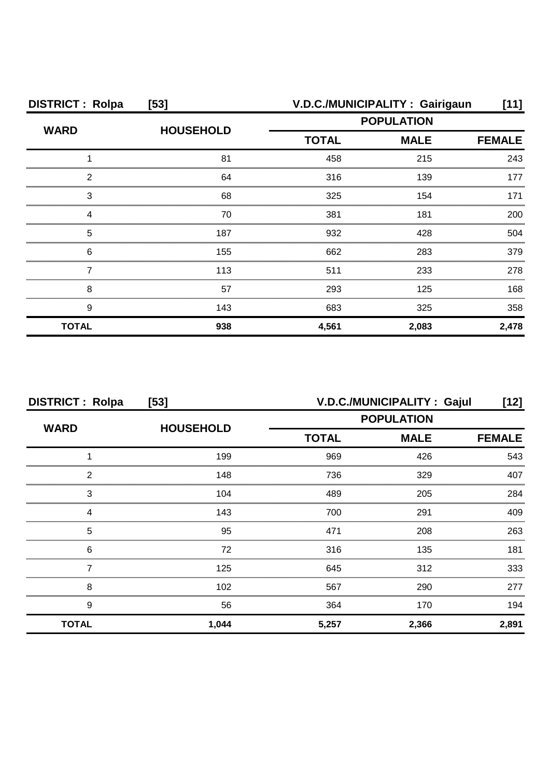| <b>DISTRICT: Rolpa</b> | $[53]$           |                   | V.D.C./MUNICIPALITY: Gairigaun | [11]          |  |
|------------------------|------------------|-------------------|--------------------------------|---------------|--|
|                        |                  | <b>POPULATION</b> |                                |               |  |
| <b>WARD</b>            | <b>HOUSEHOLD</b> | <b>TOTAL</b>      | <b>MALE</b>                    | <b>FEMALE</b> |  |
|                        | 81               | 458               | 215                            | 243           |  |
| 2                      | 64               | 316               | 139                            | 177           |  |
| 3                      | 68               | 325               | 154                            | 171           |  |
|                        | 70               | 381               | 181                            | 200           |  |
| 5                      | 187              | 932               | 428                            | 504           |  |
| 6                      | 155              | 662               | 283                            | 379           |  |
|                        | 113              | 511               | 233                            | 278           |  |
| 8                      | 57               | 293               | 125                            | 168           |  |
| 9                      | 143              | 683               | 325                            | 358           |  |
| <b>TOTAL</b>           | 938              | 4,561             | 2,083                          | 2,478         |  |

| <b>DISTRICT: Rolpa</b><br>[53] |                  |                   | V.D.C./MUNICIPALITY: Gajul | [12]          |
|--------------------------------|------------------|-------------------|----------------------------|---------------|
|                                |                  | <b>POPULATION</b> |                            |               |
| <b>WARD</b>                    | <b>HOUSEHOLD</b> | <b>TOTAL</b>      | <b>MALE</b>                | <b>FEMALE</b> |
|                                | 199              | 969               | 426                        | 543           |
| 2                              | 148              | 736               | 329                        | 407           |
| 3                              | 104              | 489               | 205                        | 284           |
| Δ                              | 143              | 700               | 291                        | 409           |
| 5                              | 95               | 471               | 208                        | 263           |
| 6                              | 72               | 316               | 135                        | 181           |
|                                | 125              | 645               | 312                        | 333           |
| 8                              | 102              | 567               | 290                        | 277           |
| 9                              | 56               | 364               | 170                        | 194           |
| <b>TOTAL</b>                   | 1,044            | 5,257             | 2,366                      | 2,891         |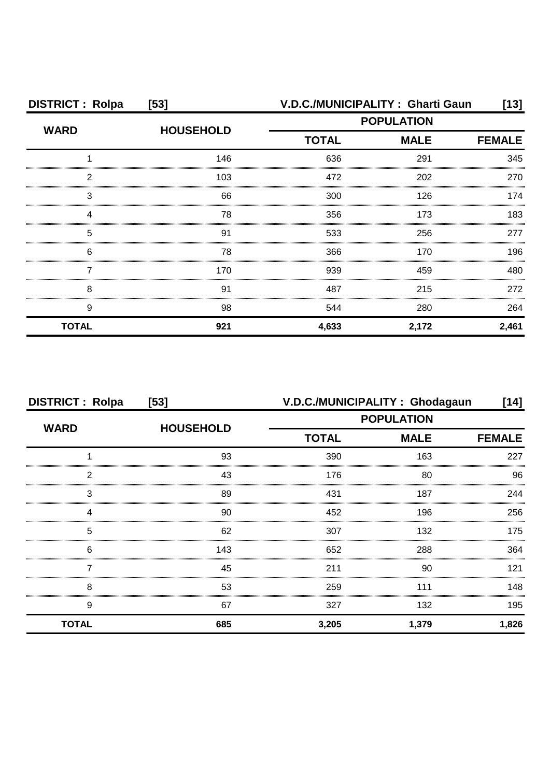| <b>DISTRICT: Rolpa</b> | $[53]$           |              | V.D.C./MUNICIPALITY: Gharti Gaun | [13]          |
|------------------------|------------------|--------------|----------------------------------|---------------|
| <b>WARD</b>            | <b>HOUSEHOLD</b> |              | <b>POPULATION</b>                |               |
|                        |                  | <b>TOTAL</b> | <b>MALE</b>                      | <b>FEMALE</b> |
|                        | 146              | 636          | 291                              | 345           |
| 2                      | 103              | 472          | 202                              | 270           |
| 3                      | 66               | 300          | 126                              | 174           |
|                        | 78               | 356          | 173                              | 183           |
| 5                      | 91               | 533          | 256                              | 277           |
| 6                      | 78               | 366          | 170                              | 196           |
|                        | 170              | 939          | 459                              | 480           |
| 8                      | 91               | 487          | 215                              | 272           |
| 9                      | 98               | 544          | 280                              | 264           |
| <b>TOTAL</b>           | 921              | 4,633        | 2,172                            | 2,461         |

| <b>DISTRICT: Rolpa</b> | $[53]$           | V.D.C./MUNICIPALITY: Ghodagaun |                   | [14]          |
|------------------------|------------------|--------------------------------|-------------------|---------------|
|                        |                  |                                | <b>POPULATION</b> |               |
| <b>WARD</b>            | <b>HOUSEHOLD</b> | <b>TOTAL</b>                   | <b>MALE</b>       | <b>FEMALE</b> |
|                        | 93               | 390                            | 163               | 227           |
| 2                      | 43               | 176                            | 80                | 96            |
| 3                      | 89               | 431                            | 187               | 244           |
|                        | 90               | 452                            | 196               | 256           |
| 5                      | 62               | 307                            | 132               | 175           |
| 6                      | 143              | 652                            | 288               | 364           |
|                        | 45               | 211                            | 90                | 121           |
| 8                      | 53               | 259                            | 111               | 148           |
| 9                      | 67               | 327                            | 132               | 195           |
| <b>TOTAL</b>           | 685              | 3,205                          | 1,379             | 1,826         |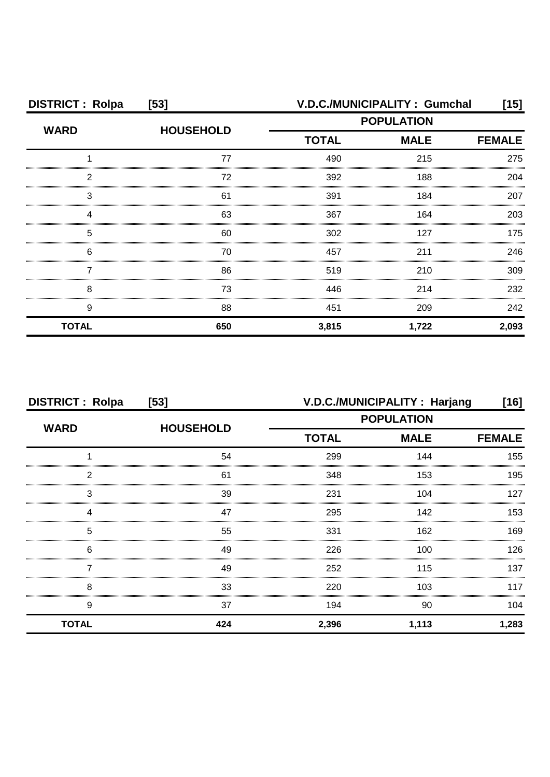| <b>DISTRICT: Rolpa</b> | $[53]$           |                   | V.D.C./MUNICIPALITY: Gumchal | [15]          |
|------------------------|------------------|-------------------|------------------------------|---------------|
| <b>WARD</b>            | <b>HOUSEHOLD</b> | <b>POPULATION</b> |                              |               |
|                        |                  | <b>TOTAL</b>      | <b>MALE</b>                  | <b>FEMALE</b> |
|                        | 77               | 490               | 215                          | 275           |
| 2                      | 72               | 392               | 188                          | 204           |
| 3                      | 61               | 391               | 184                          | 207           |
|                        | 63               | 367               | 164                          | 203           |
| 5                      | 60               | 302               | 127                          | 175           |
| 6                      | 70               | 457               | 211                          | 246           |
|                        | 86               | 519               | 210                          | 309           |
| 8                      | 73               | 446               | 214                          | 232           |
| 9                      | 88               | 451               | 209                          | 242           |
| <b>TOTAL</b>           | 650              | 3,815             | 1,722                        | 2,093         |

| <b>DISTRICT: Rolpa</b><br>$[53]$ |                  | V.D.C./MUNICIPALITY: Harjang<br>$[16]$ |               |       |
|----------------------------------|------------------|----------------------------------------|---------------|-------|
| <b>WARD</b>                      |                  | <b>POPULATION</b>                      |               |       |
|                                  | <b>HOUSEHOLD</b> | <b>TOTAL</b><br><b>MALE</b>            | <b>FEMALE</b> |       |
|                                  | 54               | 299                                    | 144           | 155   |
| 2                                | 61               | 348                                    | 153           | 195   |
| 3                                | 39               | 231                                    | 104           | 127   |
| Δ                                | 47               | 295                                    | 142           | 153   |
| 5                                | 55               | 331                                    | 162           | 169   |
| 6                                | 49               | 226                                    | 100           | 126   |
|                                  | 49               | 252                                    | 115           | 137   |
| 8                                | 33               | 220                                    | 103           | 117   |
| 9                                | 37               | 194                                    | 90            | 104   |
| <b>TOTAL</b>                     | 424              | 2,396                                  | 1,113         | 1,283 |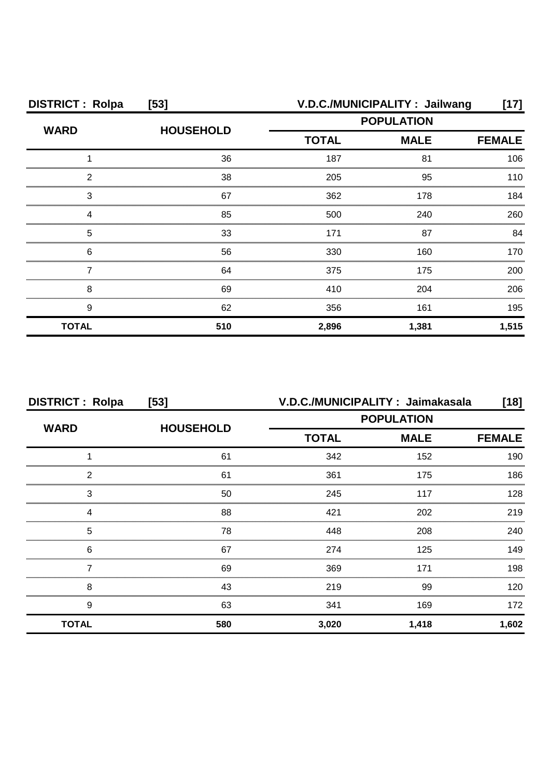| <b>DISTRICT: Rolpa</b> | $[53]$           |                   | V.D.C./MUNICIPALITY: Jailwang | [17]          |
|------------------------|------------------|-------------------|-------------------------------|---------------|
| <b>WARD</b>            | <b>HOUSEHOLD</b> | <b>POPULATION</b> |                               |               |
|                        |                  | <b>TOTAL</b>      | <b>MALE</b>                   | <b>FEMALE</b> |
|                        | 36               | 187               | 81                            | 106           |
| っ                      | 38               | 205               | 95                            | 110           |
| 3                      | 67               | 362               | 178                           | 184           |
|                        | 85               | 500               | 240                           | 260           |
| 5                      | 33               | 171               | 87                            | 84            |
| 6                      | 56               | 330               | 160                           | 170.          |
|                        | 64               | 375               | 175                           | 200           |
| 8                      | 69               | 410               | 204                           | 206           |
| 9                      | 62               | 356               | 161                           | 195           |
| <b>TOTAL</b>           | 510              | 2,896             | 1,381                         | 1,515         |

| <b>DISTRICT: Rolpa</b> | [53]             |                             | V.D.C./MUNICIPALITY: Jaimakasala | $[18]$ |
|------------------------|------------------|-----------------------------|----------------------------------|--------|
|                        | <b>HOUSEHOLD</b> | <b>POPULATION</b>           |                                  |        |
| <b>WARD</b>            |                  | <b>TOTAL</b><br><b>MALE</b> | <b>FEMALE</b>                    |        |
|                        | 61               | 342                         | 152                              | 190    |
| 2                      | 61               | 361                         | 175                              | 186    |
| 3                      | 50               | 245                         | 117                              | 128    |
| Δ                      | 88               | 421                         | 202                              | 219    |
| 5                      | 78               | 448                         | 208                              | 240    |
| 6                      | 67               | 274                         | 125                              | 149    |
|                        | 69               | 369                         | 171                              | 198    |
| 8                      | 43               | 219                         | 99                               | 120    |
| 9                      | 63               | 341                         | 169                              | 172    |
| <b>TOTAL</b>           | 580              | 3,020                       | 1,418                            | 1,602  |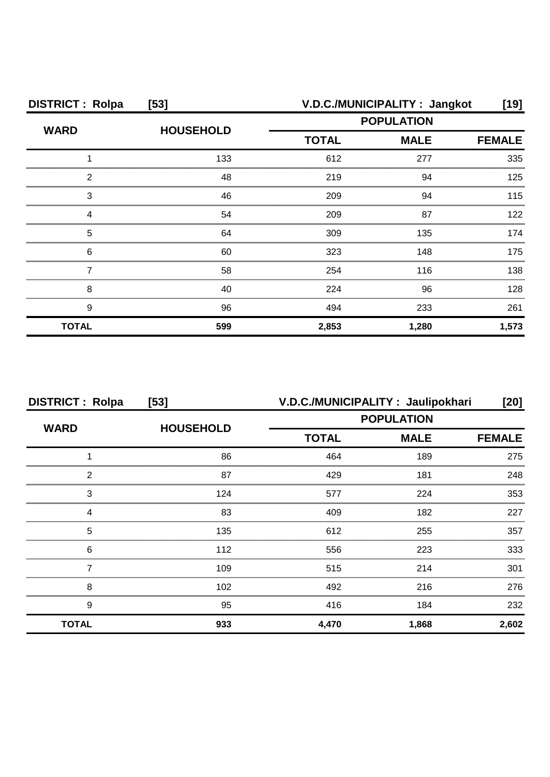| <b>DISTRICT: Rolpa</b> | $[53]$           |                             | V.D.C./MUNICIPALITY: Jangkot | [19]  |
|------------------------|------------------|-----------------------------|------------------------------|-------|
| <b>WARD</b>            |                  | <b>POPULATION</b>           |                              |       |
|                        | <b>HOUSEHOLD</b> | <b>TOTAL</b><br><b>MALE</b> | <b>FEMALE</b>                |       |
|                        | 133              | 612                         | 277                          | 335   |
| 2                      | 48               | 219                         | 94                           | 125   |
| 3                      | 46               | 209                         | 94                           | 115   |
| Δ                      | 54               | 209                         | 87                           | 122   |
| 5                      | 64               | 309                         | 135                          | 174   |
| 6                      | 60               | 323                         | 148                          | 175   |
|                        | 58               | 254                         | 116                          | 138   |
| 8                      | 40               | 224                         | 96                           | 128   |
| 9                      | 96               | 494                         | 233                          | 261   |
| <b>TOTAL</b>           | 599              | 2,853                       | 1,280                        | 1,573 |

| <b>DISTRICT: Rolpa</b> | [53]             | V.D.C./MUNICIPALITY: Jaulipokhari |             | [20]          |
|------------------------|------------------|-----------------------------------|-------------|---------------|
|                        |                  | <b>POPULATION</b>                 |             |               |
| <b>WARD</b>            | <b>HOUSEHOLD</b> | <b>TOTAL</b>                      | <b>MALE</b> | <b>FEMALE</b> |
|                        | 86               | 464                               | 189         | 275           |
| っ                      | 87               | 429                               | 181         | 248           |
| 3                      | 124              | 577                               | 224         | 353           |
|                        | 83               | 409                               | 182         | 227           |
| 5                      | 135              | 612                               | 255         | 357           |
| 6                      | 112              | 556                               | 223         | 333           |
|                        | 109              | 515                               | 214         | 301           |
| 8                      | 102              | 492                               | 216         | 276           |
| 9                      | 95               | 416                               | 184         | 232           |
| <b>TOTAL</b>           | 933              | 4,470                             | 1,868       | 2,602         |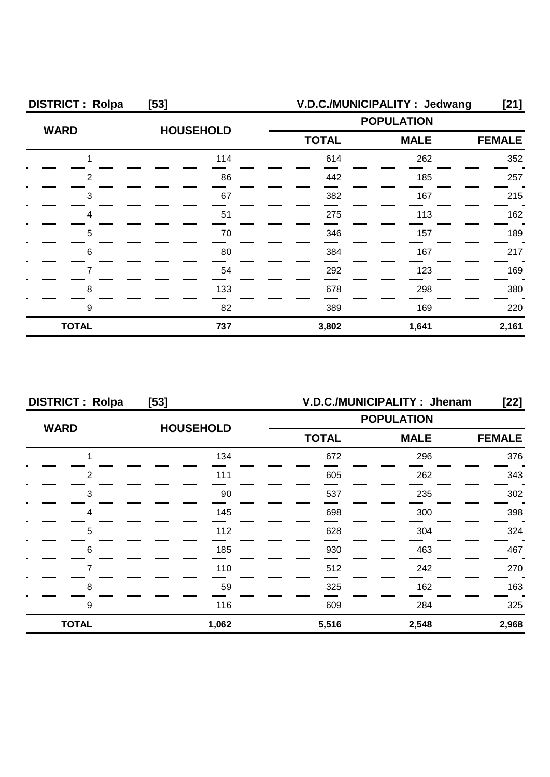| <b>DISTRICT: Rolpa</b> | $[53]$           |              | V.D.C./MUNICIPALITY : Jedwang | [21]          |
|------------------------|------------------|--------------|-------------------------------|---------------|
| <b>WARD</b>            | <b>HOUSEHOLD</b> |              | <b>POPULATION</b>             |               |
|                        |                  | <b>TOTAL</b> | <b>MALE</b>                   | <b>FEMALE</b> |
|                        | 114              | 614          | 262                           | 352           |
| 2                      | 86               | 442          | 185                           | 257           |
| 3                      | 67               | 382          | 167                           | 215           |
|                        | 51               | 275          | 113                           | 162           |
| 5                      | 70               | 346          | 157                           | 189           |
| 6                      | 80               | 384          | 167                           | 217           |
|                        | 54               | 292          | 123                           | 169           |
| 8                      | 133              | 678          | 298                           | 380           |
| 9                      | 82               | 389          | 169                           | 220           |
| <b>TOTAL</b>           | 737              | 3,802        | 1,641                         | 2,161         |

| <b>DISTRICT: Rolpa</b><br>$[53]$ |                  | V.D.C./MUNICIPALITY: Jhenam<br>$[22]$ |               |       |
|----------------------------------|------------------|---------------------------------------|---------------|-------|
| <b>WARD</b>                      |                  | <b>POPULATION</b>                     |               |       |
|                                  | <b>HOUSEHOLD</b> | <b>TOTAL</b><br><b>MALE</b>           | <b>FEMALE</b> |       |
|                                  | 134              | 672                                   | 296           | 376   |
| 2                                | 111              | 605                                   | 262           | 343   |
| 3                                | 90               | 537                                   | 235           | 302   |
| 4                                | 145              | 698                                   | 300           | 398   |
| 5                                | 112              | 628                                   | 304           | 324   |
| 6                                | 185              | 930                                   | 463           | 467   |
|                                  | 110              | 512                                   | 242           | 270   |
| 8                                | 59               | 325                                   | 162           | 163   |
| 9                                | 116              | 609                                   | 284           | 325   |
| <b>TOTAL</b>                     | 1,062            | 5,516                                 | 2,548         | 2,968 |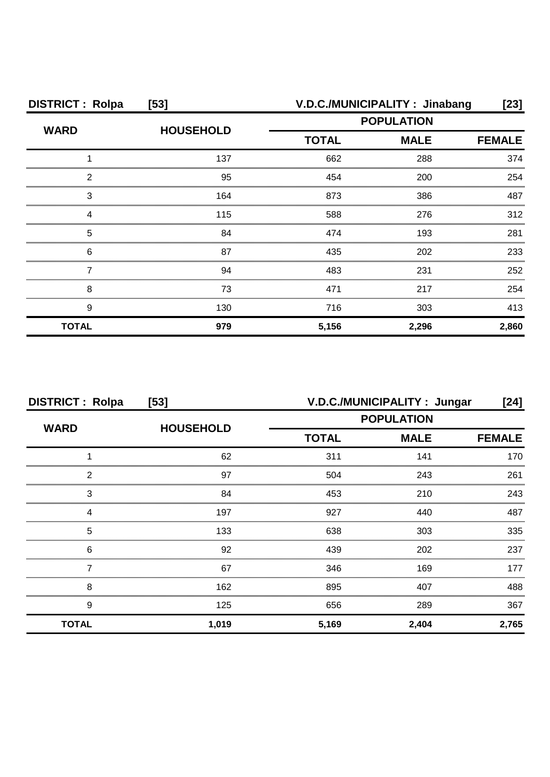| <b>DISTRICT: Rolpa</b> | $[53]$           |                                                  | V.D.C./MUNICIPALITY: Jinabang | [23]          |
|------------------------|------------------|--------------------------------------------------|-------------------------------|---------------|
| <b>WARD</b>            | <b>HOUSEHOLD</b> | <b>POPULATION</b><br><b>TOTAL</b><br><b>MALE</b> |                               |               |
|                        |                  |                                                  |                               | <b>FEMALE</b> |
|                        | 137              | 662                                              | 288                           | 374           |
| 2                      | 95               | 454                                              | 200                           | 254           |
| З                      | 164              | 873                                              | 386                           | 487           |
|                        | 115              | 588                                              | 276                           | 312           |
| 5                      | 84               | 474                                              | 193                           | 281           |
| 6                      | 87               | 435                                              | 202                           | 233           |
|                        | 94               | 483                                              | 231                           | 252           |
| 8                      | 73               | 471                                              | 217                           | 254           |
| 9                      | 130              | 716                                              | 303                           | 413           |
| <b>TOTAL</b>           | 979              | 5,156                                            | 2,296                         | 2,860         |

| <b>DISTRICT: Rolpa</b><br>$[53]$ |                  | V.D.C./MUNICIPALITY: Jungar<br>[24] |       |               |
|----------------------------------|------------------|-------------------------------------|-------|---------------|
| <b>WARD</b>                      |                  | <b>POPULATION</b>                   |       |               |
|                                  | <b>HOUSEHOLD</b> | <b>TOTAL</b><br><b>MALE</b>         |       | <b>FEMALE</b> |
|                                  | 62               | 311                                 | 141   | 170           |
| 2                                | 97               | 504                                 | 243   | 261           |
| 3                                | 84               | 453                                 | 210   | 243           |
| Δ                                | 197              | 927                                 | 440   | 487           |
| 5                                | 133              | 638                                 | 303   | 335           |
| 6                                | 92               | 439                                 | 202   | 237           |
|                                  | 67               | 346                                 | 169   | 177           |
| 8                                | 162              | 895                                 | 407   | 488           |
| 9                                | 125              | 656                                 | 289   | 367           |
| <b>TOTAL</b>                     | 1,019            | 5,169                               | 2,404 | 2,765         |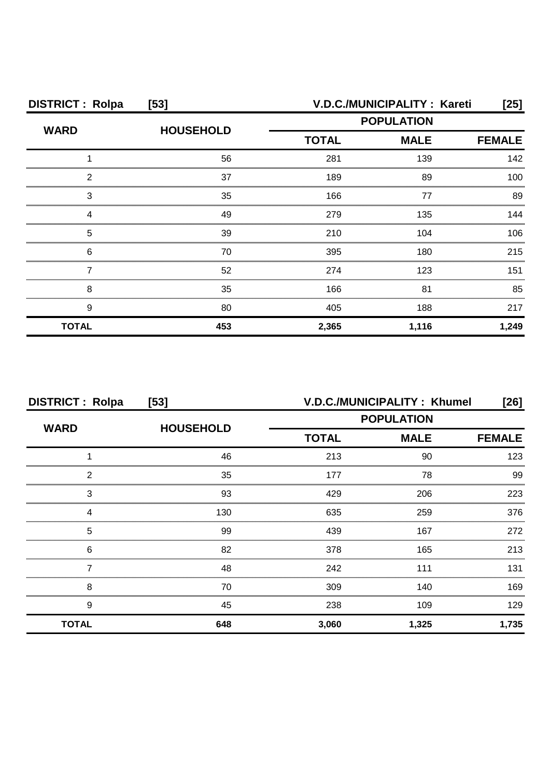| <b>DISTRICT: Rolpa</b> | $[53]$           | V.D.C./MUNICIPALITY: Kareti |       |               |
|------------------------|------------------|-----------------------------|-------|---------------|
| <b>WARD</b>            | <b>HOUSEHOLD</b> | <b>POPULATION</b>           |       |               |
|                        |                  | <b>TOTAL</b><br><b>MALE</b> |       | <b>FEMALE</b> |
|                        | 56               | 281                         | 139   | 142           |
| 2                      | 37               | 189                         | 89    | 100           |
| З                      | 35               | 166                         | 77    | 89            |
|                        | 49               | 279                         | 135   | 144           |
| 5                      | 39               | 210                         | 104   | 106           |
| 6                      | 70               | 395                         | 180   | 215           |
|                        | 52               | 274                         | 123   | 151           |
| 8                      | 35               | 166                         | 81    | 85            |
| 9                      | 80               | 405                         | 188   | 217           |
| <b>TOTAL</b>           | 453              | 2,365                       | 1,116 | 1,249         |

| <b>DISTRICT: Rolpa</b><br>$[53]$ |                  | V.D.C./MUNICIPALITY: Khumel<br>[26] |       |               |
|----------------------------------|------------------|-------------------------------------|-------|---------------|
| <b>WARD</b>                      | <b>HOUSEHOLD</b> | <b>POPULATION</b>                   |       |               |
|                                  |                  | <b>MALE</b><br><b>TOTAL</b>         |       | <b>FEMALE</b> |
|                                  | 46               | 213                                 | 90    | 123           |
| 2                                | 35               | 177                                 | 78    | 99            |
| 3                                | 93               | 429                                 | 206   | 223           |
|                                  | 130              | 635                                 | 259   | 376           |
| 5                                | 99               | 439                                 | 167   | 272           |
| 6                                | 82               | 378                                 | 165   | 213           |
|                                  | 48               | 242                                 | 111   | 131           |
| 8                                | 70               | 309                                 | 140   | 169           |
| 9                                | 45               | 238                                 | 109   | 129           |
| <b>TOTAL</b>                     | 648              | 3,060                               | 1,325 | 1,735         |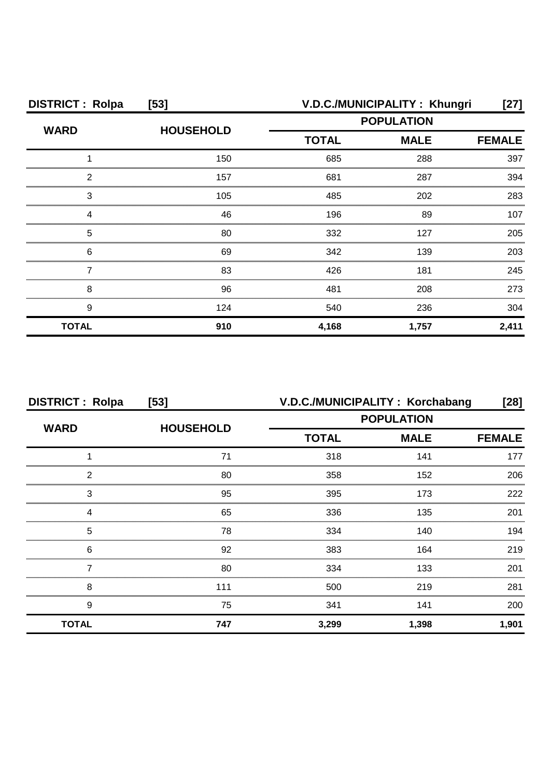| <b>DISTRICT: Rolpa</b> | $[53]$           | V.D.C./MUNICIPALITY: Khungri<br>[27] |             |               |
|------------------------|------------------|--------------------------------------|-------------|---------------|
| <b>WARD</b>            | <b>HOUSEHOLD</b> | <b>POPULATION</b>                    |             |               |
|                        |                  | <b>TOTAL</b>                         | <b>MALE</b> | <b>FEMALE</b> |
|                        | 150              | 685                                  | 288         | 397           |
| 2                      | 157              | 681                                  | 287         | 394           |
| З                      | 105              | 485                                  | 202         | 283           |
|                        | 46               | 196                                  | 89          | 107           |
| 5                      | 80               | 332                                  | 127         | 205           |
| 6                      | 69               | 342                                  | 139         | 203           |
|                        | 83               | 426                                  | 181         | 245           |
| 8                      | 96               | 481                                  | 208         | 273           |
| 9                      | 124              | 540                                  | 236         | 304           |
| <b>TOTAL</b>           | 910              | 4,168                                | 1,757       | 2,411         |

| <b>DISTRICT: Rolpa</b> | [53]             | V.D.C./MUNICIPALITY: Korchabang |                   | [28]          |
|------------------------|------------------|---------------------------------|-------------------|---------------|
| <b>WARD</b>            |                  |                                 | <b>POPULATION</b> |               |
|                        | <b>HOUSEHOLD</b> | <b>TOTAL</b>                    | <b>MALE</b>       | <b>FEMALE</b> |
|                        | 71               | 318                             | 141               | 177           |
| 2                      | 80               | 358                             | 152               | 206           |
| 3                      | 95               | 395                             | 173               | 222           |
| Δ                      | 65               | 336                             | 135               | 201           |
| 5                      | 78               | 334                             | 140               | 194           |
| 6                      | 92               | 383                             | 164               | 219           |
|                        | 80               | 334                             | 133               | 201           |
| 8                      | 111              | 500                             | 219               | 281           |
| 9                      | 75               | 341                             | 141               | 200           |
| <b>TOTAL</b>           | 747              | 3,299                           | 1,398             | 1,901         |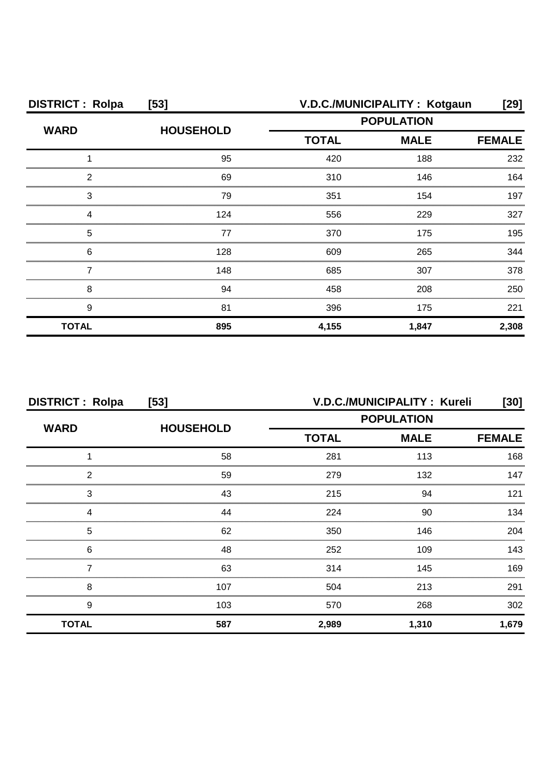| <b>DISTRICT: Rolpa</b> | $[53]$           |                   | V.D.C./MUNICIPALITY: Kotgaun | $[29]$        |
|------------------------|------------------|-------------------|------------------------------|---------------|
| <b>WARD</b>            |                  | <b>POPULATION</b> |                              |               |
|                        | <b>HOUSEHOLD</b> | <b>TOTAL</b>      | <b>MALE</b>                  | <b>FEMALE</b> |
|                        | 95               | 420               | 188                          | 232           |
| 2                      | 69               | 310               | 146                          | 164           |
| 3                      | 79               | 351               | 154                          | 197           |
|                        | 124              | 556               | 229                          | 327           |
| 5                      | 77               | 370               | 175                          | 195           |
| 6                      | 128              | 609               | 265                          | 344           |
|                        | 148              | 685               | 307                          | 378           |
| 8                      | 94               | 458               | 208                          | 250           |
| 9                      | 81               | 396               | 175                          | 221           |
| <b>TOTAL</b>           | 895              | 4,155             | 1,847                        | 2,308         |

| <b>DISTRICT: Rolpa</b><br>$[53]$ |                  |                             | V.D.C./MUNICIPALITY: Kureli | [30]          |
|----------------------------------|------------------|-----------------------------|-----------------------------|---------------|
| <b>WARD</b>                      | <b>HOUSEHOLD</b> | <b>POPULATION</b>           |                             |               |
|                                  |                  | <b>MALE</b><br><b>TOTAL</b> |                             | <b>FEMALE</b> |
|                                  | 58               | 281                         | 113                         | 168           |
| っ                                | 59               | 279                         | 132                         | 147           |
| 3                                | 43               | 215                         | 94                          | 121           |
|                                  | 44               | 224                         | 90                          | 134           |
| 5                                | 62               | 350                         | 146                         | 204           |
| 6                                | 48               | 252                         | 109                         | 143.          |
|                                  | 63               | 314                         | 145                         | 169           |
| 8                                | 107              | 504                         | 213                         | 291           |
| 9                                | 103              | 570                         | 268                         | 302           |
| <b>TOTAL</b>                     | 587              | 2,989                       | 1,310                       | 1,679         |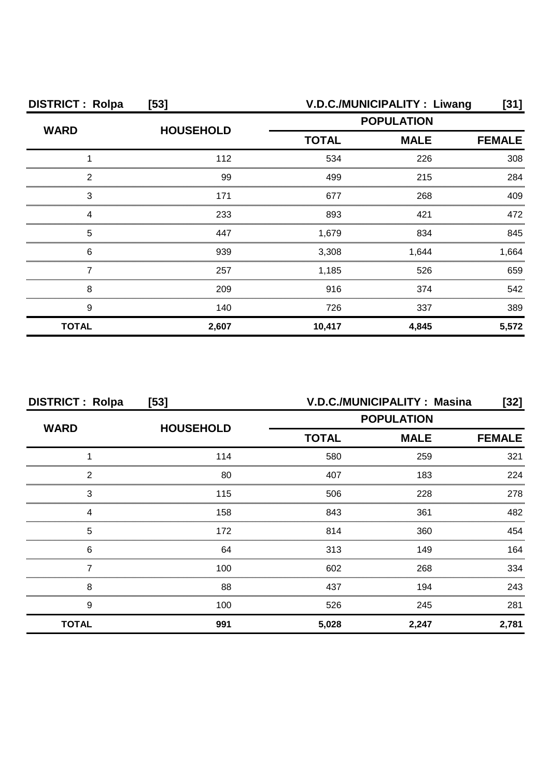| <b>DISTRICT: Rolpa</b> | $[53]$           | V.D.C./MUNICIPALITY : Liwang |                   |               |
|------------------------|------------------|------------------------------|-------------------|---------------|
| <b>WARD</b>            |                  |                              | <b>POPULATION</b> |               |
|                        | <b>HOUSEHOLD</b> | <b>TOTAL</b>                 | <b>MALE</b>       | <b>FEMALE</b> |
|                        | 112              | 534                          | 226               | 308           |
| っ                      | 99               | 499                          | 215               | 284           |
| 3                      | 171              | 677                          | 268               | 409           |
|                        | 233              | 893                          | 421               | 472           |
| 5                      | 447              | 1,679                        | 834               | 845           |
| 6                      | 939              | 3,308                        | 1,644             | 1,664         |
| ,,,,,,,,,,,,,          | 257              | 1,185                        | 526               | 659           |
| 8                      | 209              | 916                          | 374               | 542           |
| 9                      | 140              | 726                          | 337               | 389           |
| <b>TOTAL</b>           | 2,607            | 10,417                       | 4,845             | 5,572         |

| <b>DISTRICT: Rolpa</b><br>$[53]$ |                  | V.D.C./MUNICIPALITY: Masina<br>$[32]$ |                   |               |
|----------------------------------|------------------|---------------------------------------|-------------------|---------------|
| <b>WARD</b>                      |                  |                                       | <b>POPULATION</b> |               |
|                                  | <b>HOUSEHOLD</b> | <b>TOTAL</b>                          | <b>MALE</b>       | <b>FEMALE</b> |
|                                  | 114              | 580                                   | 259               | 321           |
| 2                                | 80               | 407                                   | 183               | 224           |
| 3                                | 115              | 506                                   | 228               | 278           |
| Δ                                | 158              | 843                                   | 361               | 482           |
| 5                                | 172              | 814                                   | 360               | 454           |
| 6                                | 64               | 313                                   | 149               | 164           |
|                                  | 100              | 602                                   | 268               | 334           |
| 8                                | 88               | 437                                   | 194               | 243           |
| 9                                | 100              | 526                                   | 245               | 281           |
| <b>TOTAL</b>                     | 991              | 5,028                                 | 2,247             | 2,781         |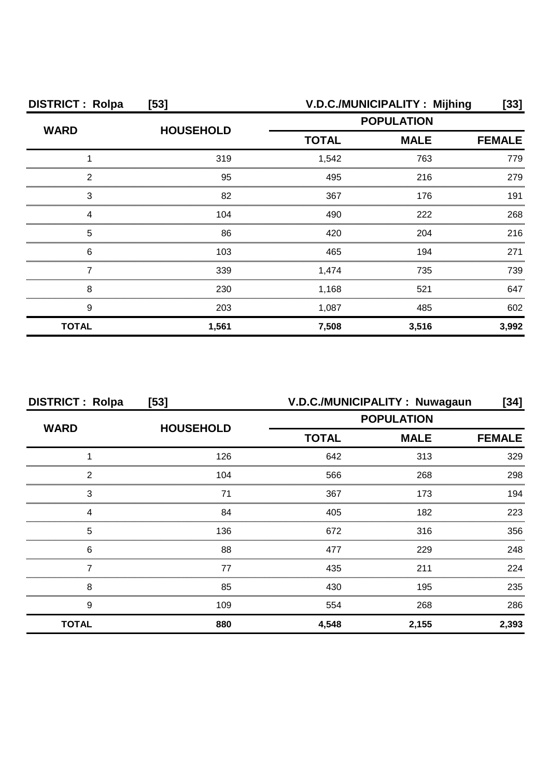| <b>DISTRICT: Rolpa</b> | $[53]$           | V.D.C./MUNICIPALITY: Mijhing<br>[33] |             |       |
|------------------------|------------------|--------------------------------------|-------------|-------|
| <b>WARD</b>            | <b>HOUSEHOLD</b> | <b>POPULATION</b>                    |             |       |
|                        |                  | <b>TOTAL</b>                         | <b>MALE</b> |       |
|                        | 319              | 1,542                                | 763         | 779   |
| 2                      | 95               | 495                                  | 216         | 279   |
| З                      | 82               | 367                                  | 176         | 191   |
|                        | 104              | 490                                  | 222         | 268   |
| 5                      | 86               | 420                                  | 204         | 216   |
| 6                      | 103              | 465                                  | 194         | 271   |
|                        | 339              | 1,474                                | 735         | 739.  |
| 8                      | 230              | 1,168                                | 521         | 647   |
| 9                      | 203              | 1,087                                | 485         | 602   |
| <b>TOTAL</b>           | 1,561            | 7,508                                | 3,516       | 3,992 |

| <b>DISTRICT: Rolpa</b><br>$[53]$ |                  | V.D.C./MUNICIPALITY: Nuwagaun<br>[34] |             |               |
|----------------------------------|------------------|---------------------------------------|-------------|---------------|
| <b>WARD</b>                      |                  | <b>POPULATION</b>                     |             |               |
|                                  | <b>HOUSEHOLD</b> | <b>TOTAL</b>                          | <b>MALE</b> | <b>FEMALE</b> |
|                                  | 126              | 642                                   | 313         | 329           |
| っ                                | 104              | 566                                   | 268         | 298           |
| 3                                | 71               | 367                                   | 173         | 194           |
|                                  | 84               | 405                                   | 182         | 223           |
| 5                                | 136              | 672                                   | 316         | 356           |
| 6                                | 88               | 477                                   | 229         | 248           |
|                                  | 77               | 435                                   | 211         | 224           |
| 8                                | 85               | 430                                   | 195         | 235           |
| 9                                | 109              | 554                                   | 268         | 286           |
| <b>TOTAL</b>                     | 880              | 4,548                                 | 2,155       | 2,393         |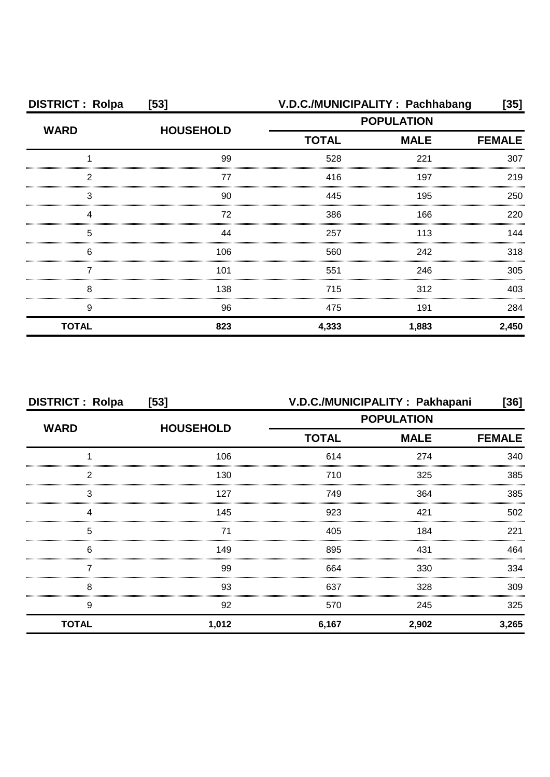| <b>DISTRICT: Rolpa</b> | $[53]$           | V.D.C./MUNICIPALITY: Pachhabang |             | [35]          |
|------------------------|------------------|---------------------------------|-------------|---------------|
| <b>WARD</b>            | <b>HOUSEHOLD</b> | <b>POPULATION</b>               |             |               |
|                        |                  | <b>TOTAL</b>                    | <b>MALE</b> | <b>FEMALE</b> |
|                        | 99               | 528                             | 221         | 307           |
| 2                      | 77               | 416                             | 197         | 219           |
| 3                      | 90               | 445                             | 195         | 250           |
|                        | 72               | 386                             | 166         | 220           |
| 5                      | 44               | 257                             | 113         | 144           |
| 6                      | 106              | 560                             | 242         | 318           |
|                        | 101              | 551                             | 246         | 305           |
| 8                      | 138              | 715                             | 312         | 403           |
| 9                      | 96               | 475                             | 191         | 284           |
| <b>TOTAL</b>           | 823              | 4,333                           | 1,883       | 2,450         |

| <b>DISTRICT: Rolpa</b><br>$[53]$ |                  | V.D.C./MUNICIPALITY: Pakhapani<br>[36] |                   |               |
|----------------------------------|------------------|----------------------------------------|-------------------|---------------|
|                                  |                  |                                        | <b>POPULATION</b> |               |
| <b>WARD</b>                      | <b>HOUSEHOLD</b> | <b>TOTAL</b>                           | <b>MALE</b>       | <b>FEMALE</b> |
|                                  | 106              | 614                                    | 274               | 340           |
| 2                                | 130              | 710                                    | 325               | 385           |
| 3                                | 127              | 749                                    | 364               | 385           |
| 4                                | 145              | 923                                    | 421               | 502           |
| 5                                | 71               | 405                                    | 184               | 221           |
| 6                                | 149              | 895                                    | 431               | 464           |
|                                  | 99               | 664                                    | 330               | 334           |
| 8                                | 93               | 637                                    | 328               | 309           |
| 9                                | 92               | 570                                    | 245               | 325           |
| <b>TOTAL</b>                     | 1,012            | 6,167                                  | 2,902             | 3,265         |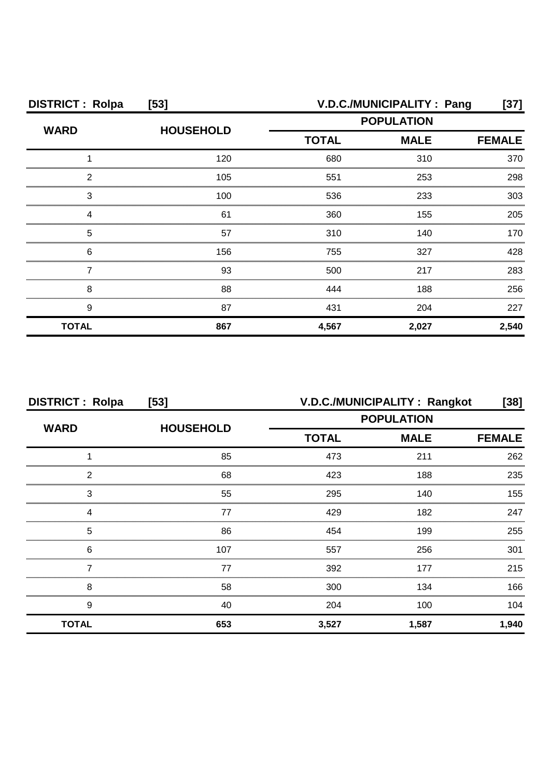| <b>DISTRICT: Rolpa</b> | $[53]$           | V.D.C./MUNICIPALITY : Pang                       |       |               |
|------------------------|------------------|--------------------------------------------------|-------|---------------|
| <b>WARD</b>            | <b>HOUSEHOLD</b> | <b>POPULATION</b><br><b>TOTAL</b><br><b>MALE</b> |       |               |
|                        |                  |                                                  |       | <b>FEMALE</b> |
|                        | 120              | 680                                              | 310   | 370           |
| 2                      | 105              | 551                                              | 253   | 298           |
| З                      | 100              | 536                                              | 233   | 303           |
|                        | 61               | 360                                              | 155   | 205           |
| 5                      | 57               | 310                                              | 140   | 170           |
| 6                      | 156              | 755                                              | 327   | 428           |
|                        | 93               | 500                                              | 217   | 283           |
| 8                      | 88               | 444                                              | 188   | 256           |
| 9                      | 87               | 431                                              | 204   | 227           |
| <b>TOTAL</b>           | 867              | 4,567                                            | 2,027 | 2,540         |

| <b>DISTRICT: Rolpa</b><br>[53] |                  | V.D.C./MUNICIPALITY : Rangkot<br>$[38]$ |             |               |
|--------------------------------|------------------|-----------------------------------------|-------------|---------------|
|                                |                  | <b>POPULATION</b>                       |             |               |
| <b>WARD</b>                    | <b>HOUSEHOLD</b> | <b>TOTAL</b>                            | <b>MALE</b> | <b>FEMALE</b> |
|                                | 85               | 473                                     | 211         | 262           |
| 2                              | 68               | 423                                     | 188         | 235           |
| 3                              | 55               | 295                                     | 140         | 155           |
| Δ                              | 77               | 429                                     | 182         | 247           |
| 5                              | 86               | 454                                     | 199         | 255           |
| 6                              | 107              | 557                                     | 256         | 301           |
|                                | 77               | 392                                     | 177         | 215           |
| 8                              | 58               | 300                                     | 134         | 166           |
| 9                              | 40               | 204                                     | 100         | 104           |
| <b>TOTAL</b>                   | 653              | 3,527                                   | 1,587       | 1,940         |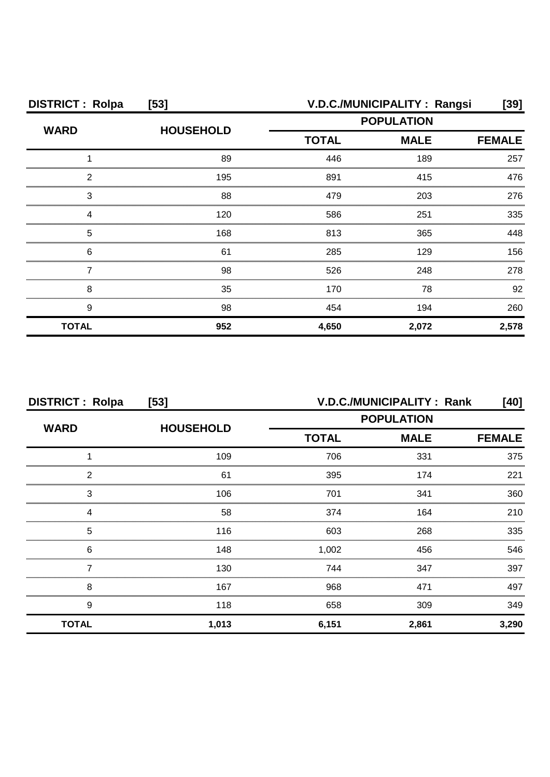| <b>DISTRICT: Rolpa</b> | $[53]$           | V.D.C./MUNICIPALITY: Rangsi<br>[39] |                              |       |  |
|------------------------|------------------|-------------------------------------|------------------------------|-------|--|
| <b>WARD</b>            | <b>HOUSEHOLD</b> | <b>POPULATION</b>                   |                              |       |  |
|                        |                  | <b>TOTAL</b>                        | <b>MALE</b><br><b>FEMALE</b> |       |  |
|                        | 89               | 446                                 | 189                          | 257   |  |
| 2                      | 195              | 891                                 | 415                          | 476   |  |
| З                      | 88               | 479                                 | 203                          | 276   |  |
| Δ                      | 120              | 586                                 | 251                          | 335   |  |
| 5                      | 168              | 813                                 | 365                          | 448   |  |
| 6                      | 61               | 285                                 | 129                          | 156   |  |
|                        | 98               | 526                                 | 248                          | 278   |  |
| 8                      | 35               | 170                                 | 78                           | 92    |  |
| 9                      | 98               | 454                                 | 194                          | 260   |  |
| <b>TOTAL</b>           | 952              | 4,650                               | 2,072                        | 2,578 |  |

| <b>DISTRICT: Rolpa</b><br>$[53]$ |                  | V.D.C./MUNICIPALITY: Rank<br>[40] |             |               |
|----------------------------------|------------------|-----------------------------------|-------------|---------------|
| <b>WARD</b>                      | <b>HOUSEHOLD</b> | <b>POPULATION</b>                 |             |               |
|                                  |                  | <b>TOTAL</b>                      | <b>MALE</b> | <b>FEMALE</b> |
|                                  | 109              | 706                               | 331         | 375           |
| 2                                | 61               | 395                               | 174         | 221           |
| 3                                | 106              | 701                               | 341         | 360           |
|                                  | 58               | 374                               | 164         | 210           |
| 5                                | 116              | 603                               | 268         | 335           |
| 6                                | 148              | 1,002                             | 456         | 546           |
|                                  | 130              | 744                               | 347         | 397           |
| 8                                | 167              | 968                               | 471         | 497           |
| 9                                | 118              | 658                               | 309         | 349           |
| <b>TOTAL</b>                     | 1,013            | 6,151                             | 2,861       | 3,290         |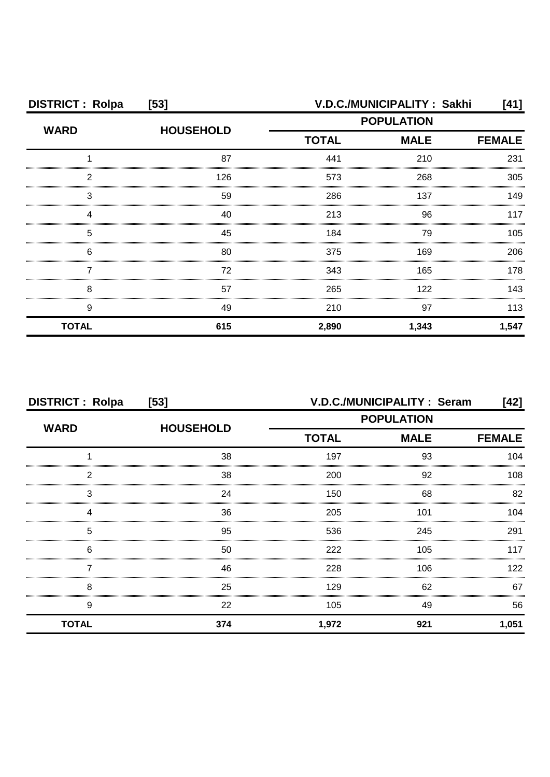| <b>DISTRICT: Rolpa</b> | $[53]$           |              | V.D.C./MUNICIPALITY: Sakhi | [41]          |
|------------------------|------------------|--------------|----------------------------|---------------|
| <b>WARD</b>            | <b>HOUSEHOLD</b> |              | <b>POPULATION</b>          |               |
|                        |                  | <b>TOTAL</b> | <b>MALE</b>                | <b>FEMALE</b> |
|                        | 87               | 441          | 210                        | 231           |
| 2                      | 126              | 573          | 268                        | 305           |
| 3                      | 59               | 286          | 137                        | 149           |
| Δ                      | 40               | 213          | 96                         | 117           |
| 5                      | 45               | 184          | 79                         | 105           |
| 6                      | 80               | 375          | 169                        | 206           |
|                        | 72               | 343          | 165                        | 178           |
| 8                      | 57               | 265          | 122                        | 143           |
| 9                      | 49               | 210          | 97                         | 113           |
| <b>TOTAL</b>           | 615              | 2,890        | 1,343                      | 1,547         |

| <b>DISTRICT: Rolpa</b><br>$[53]$ |                  | V.D.C./MUNICIPALITY: Seram<br>[42] |                   |               |
|----------------------------------|------------------|------------------------------------|-------------------|---------------|
|                                  | <b>HOUSEHOLD</b> |                                    | <b>POPULATION</b> |               |
| <b>WARD</b>                      |                  | <b>TOTAL</b>                       | <b>MALE</b>       | <b>FEMALE</b> |
|                                  | 38               | 197                                | 93                | 104           |
| 2                                | 38               | 200                                | 92                | 108           |
| 3                                | 24               | 150                                | 68                | 82            |
|                                  | 36               | 205                                | 101               | 104           |
| 5                                | 95               | 536                                | 245               | 291           |
| 6                                | 50               | 222                                | 105               | 117           |
|                                  | 46               | 228                                | 106               | 122           |
| 8                                | 25               | 129                                | 62                | 67            |
| 9                                | 22               | 105                                | 49                | 56            |
| <b>TOTAL</b>                     | 374              | 1,972                              | 921               | 1,051         |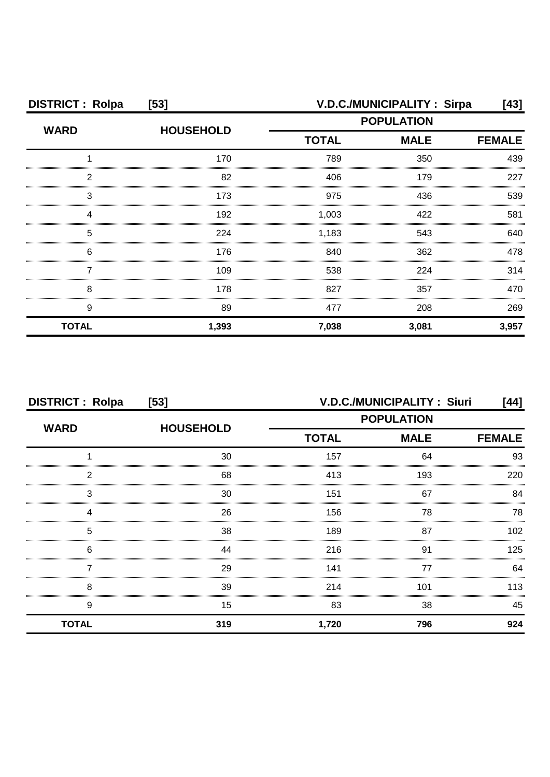| <b>DISTRICT: Rolpa</b><br>$[53]$ |                  |                   | V.D.C./MUNICIPALITY: Sirpa | [43]          |
|----------------------------------|------------------|-------------------|----------------------------|---------------|
| <b>WARD</b>                      | <b>HOUSEHOLD</b> | <b>POPULATION</b> |                            |               |
|                                  |                  | <b>TOTAL</b>      | <b>MALE</b>                | <b>FEMALE</b> |
|                                  | 170              | 789               | 350                        | 439           |
| 2                                | 82               | 406               | 179                        | 227           |
| 3                                | 173              | 975               | 436                        | 539           |
|                                  | 192              | 1,003             | 422                        | 581           |
| 5                                | 224              | 1,183             | 543                        | 640           |
| 6                                | 176              | 840               | 362                        | 478           |
|                                  | 109              | 538               | 224                        | 314           |
| 8                                | 178              | 827               | 357                        | 470           |
| 9                                | 89               | 477               | 208                        | 269           |
| <b>TOTAL</b>                     | 1,393            | 7,038             | 3,081                      | 3,957         |

| <b>DISTRICT: Rolpa</b><br>[53] |                  | <b>V.D.C./MUNICIPALITY: Siuri</b><br>[44] |                   |               |
|--------------------------------|------------------|-------------------------------------------|-------------------|---------------|
|                                |                  |                                           | <b>POPULATION</b> |               |
| <b>WARD</b>                    | <b>HOUSEHOLD</b> | <b>TOTAL</b>                              | <b>MALE</b>       | <b>FEMALE</b> |
|                                | 30               | 157                                       | 64                | 93            |
| 2                              | 68               | 413                                       | 193               | 220           |
| 3                              | 30               | 151                                       | 67                | 84            |
|                                | 26               | 156                                       | 78                | 78            |
| 5                              | 38               | 189                                       | 87                | 102           |
| 6                              | 44               | 216                                       | .91               | 125           |
|                                | 29               | 141                                       | 77                | 64            |
| 8                              | 39               | 214                                       | 101               | 113           |
| 9                              | 15               | 83                                        | 38                | 45            |
| <b>TOTAL</b>                   | 319              | 1,720                                     | 796               | 924           |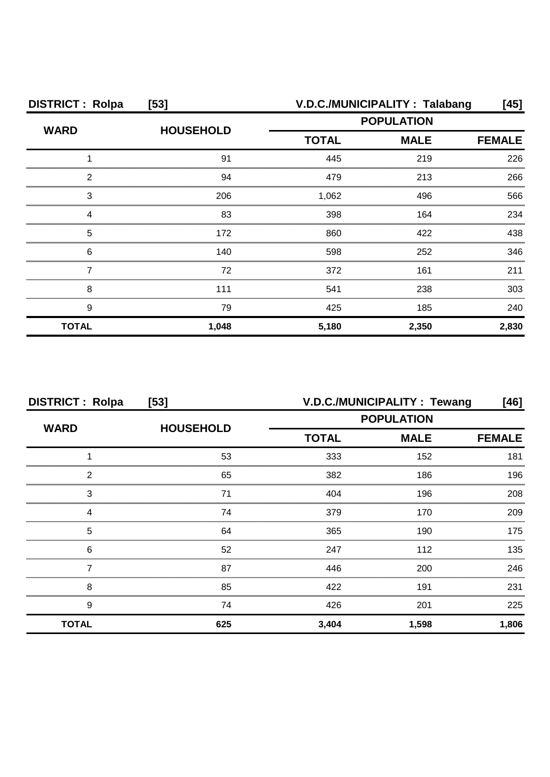| <b>DISTRICT: Rolpa</b> | $[53]$           |                   | V.D.C./MUNICIPALITY: Talabang | [45]          |
|------------------------|------------------|-------------------|-------------------------------|---------------|
| <b>WARD</b>            | <b>HOUSEHOLD</b> | <b>POPULATION</b> |                               |               |
|                        |                  | <b>TOTAL</b>      | <b>MALE</b>                   | <b>FEMALE</b> |
|                        | 91               | 445               | 219                           | 226           |
| っ                      | 94               | 479               | 213                           | 266           |
| 3                      | 206              | 1,062             | 496                           | 566           |
|                        | 83               | 398               | 164                           | 234           |
| 5                      | 172              | 860               | 422                           | 438           |
| 6                      | 140              | 598               | 252                           | 346           |
|                        | 72               | 372               | 161                           | 211           |
| 8                      | 111              | 541               | 238                           | 303           |
| 9                      | 79               | 425               | 185                           | 240           |
| <b>TOTAL</b>           | 1,048            | 5,180             | 2,350                         | 2,830         |

| <b>DISTRICT: Rolpa</b><br>$[53]$ |                  | V.D.C./MUNICIPALITY: Tewang<br>[46] |             |               |
|----------------------------------|------------------|-------------------------------------|-------------|---------------|
| <b>WARD</b>                      |                  | <b>POPULATION</b>                   |             |               |
|                                  | <b>HOUSEHOLD</b> | <b>TOTAL</b>                        | <b>MALE</b> | <b>FEMALE</b> |
|                                  | 53               | 333                                 | 152         | 181           |
| 2                                | 65               | 382                                 | 186         | 196           |
| 3                                | 71               | 404                                 | 196         | 208           |
| 4                                | 74               | 379                                 | 170         | 209           |
| 5                                | 64               | 365                                 | 190         | 175           |
| 6                                | 52               | 247                                 | 112         | 135           |
|                                  | 87               | 446                                 | 200         | 246           |
| 8                                | 85               | 422                                 | 191         | 231           |
| 9                                | 74               | 426                                 | 201         | 225           |
| <b>TOTAL</b>                     | 625              | 3,404                               | 1,598       | 1,806         |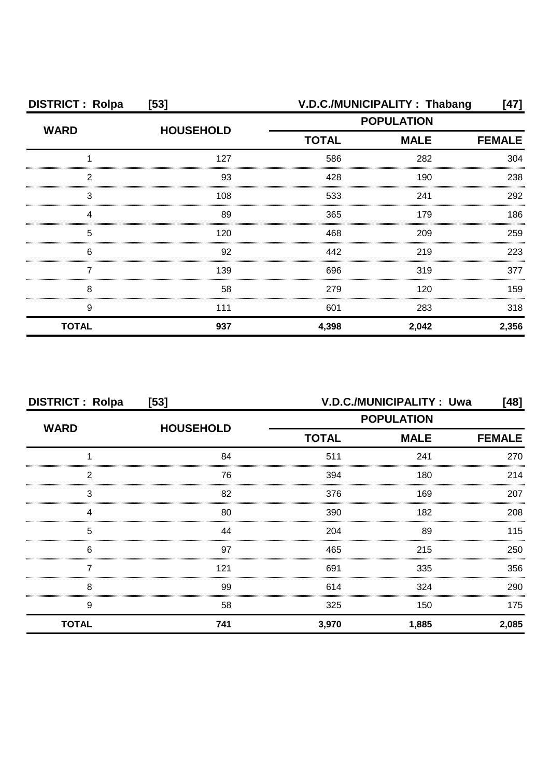| <b>DISTRICT: Rolpa</b> | $[53]$           |                   | V.D.C./MUNICIPALITY: Thabang | [47]  |
|------------------------|------------------|-------------------|------------------------------|-------|
| <b>WARD</b>            | <b>HOUSEHOLD</b> | <b>POPULATION</b> |                              |       |
|                        |                  | <b>TOTAL</b>      | <b>FEMALE</b>                |       |
|                        | 127              | 586               | 282                          | 304   |
| 2                      | 93               | 428               | 190                          | 238   |
| 3                      | 108              | 533               | 241                          | 292   |
|                        | 89               | 365               | 179                          | 186   |
| 5                      | 120              | 468               | 209                          | 259   |
| 6                      | 92               | 442               | 219                          | 223   |
|                        | 139              | 696               | 319                          | 377   |
| 8                      | 58               | 279               | 120                          | 159   |
| 9                      | 111              | 601               | 283                          | 318   |
| <b>TOTAL</b>           | 937              | 4,398             | 2,042                        | 2,356 |

| <b>DISTRICT: Rolpa</b><br>$[53]$ |                  | V.D.C./MUNICIPALITY: Uwa<br>[48] |                              |       |
|----------------------------------|------------------|----------------------------------|------------------------------|-------|
| <b>WARD</b>                      | <b>HOUSEHOLD</b> | <b>POPULATION</b>                |                              |       |
|                                  |                  | <b>TOTAL</b>                     | <b>MALE</b><br><b>FEMALE</b> |       |
|                                  | 84               | 511                              | 241                          | 270   |
| 2                                | 76               | 394                              | 180                          | 214   |
| 3                                | 82               | 376                              | 169                          | 207   |
|                                  | 80               | 390                              | 182                          | 208   |
| 5                                | 44               | 204                              | 89                           | 115   |
| 6                                | 97               | 465                              | 215                          | 250   |
|                                  | 121              | 691                              | 335                          | 356   |
| 8                                | 99               | 614                              | 324                          | 290   |
| 9                                | 58               | 325                              | 150                          | 175   |
| <b>TOTAL</b>                     | 741              | 3,970                            | 1,885                        | 2,085 |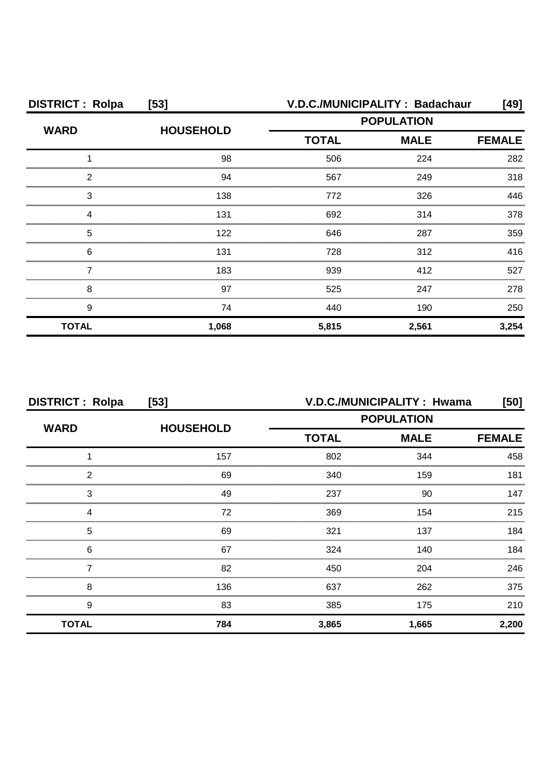| <b>DISTRICT: Rolpa</b> | $[53]$           | V.D.C./MUNICIPALITY: Badachaur<br>[49] |             |               |
|------------------------|------------------|----------------------------------------|-------------|---------------|
| <b>WARD</b>            |                  | <b>POPULATION</b>                      |             |               |
|                        | <b>HOUSEHOLD</b> | <b>TOTAL</b>                           | <b>MALE</b> | <b>FEMALE</b> |
|                        | 98               | 506                                    | 224         | 282           |
| 2                      | 94               | 567                                    | 249         | 318           |
| З                      | 138              | 772                                    | 326         | 446           |
|                        | 131              | 692                                    | 314         | 378           |
| 5                      | 122              | 646                                    | 287         | 359           |
| 6                      | 131              | 728                                    | 312         | 416           |
|                        | 183              | 939                                    | 412         | 527           |
| 8                      | 97               | 525                                    | 247         | 278           |
| 9                      | 74               | 440                                    | 190         | 250           |
| <b>TOTAL</b>           | 1,068            | 5,815                                  | 2,561       | 3,254         |

| <b>DISTRICT: Rolpa</b><br>$[53]$ |                  | V.D.C./MUNICIPALITY: Hwama<br>[50] |             |               |
|----------------------------------|------------------|------------------------------------|-------------|---------------|
|                                  |                  | <b>POPULATION</b>                  |             |               |
| <b>WARD</b>                      | <b>HOUSEHOLD</b> | <b>TOTAL</b>                       | <b>MALE</b> | <b>FEMALE</b> |
|                                  | 157              | 802                                | 344         | 458           |
| 2                                | 69               | 340                                | 159         | 181           |
| 3                                | 49               | 237                                | 90          | 147           |
| Δ                                | 72               | 369                                | 154         | 215           |
| 5                                | 69               | 321                                | 137         | 184           |
| 6                                | 67               | 324                                | 140         | 184           |
|                                  | 82               | 450                                | 204         | 246           |
| 8                                | 136              | 637                                | 262         | 375           |
| 9                                | 83               | 385                                | 175         | 210           |
| <b>TOTAL</b>                     | 784              | 3,865                              | 1,665       | 2,200         |